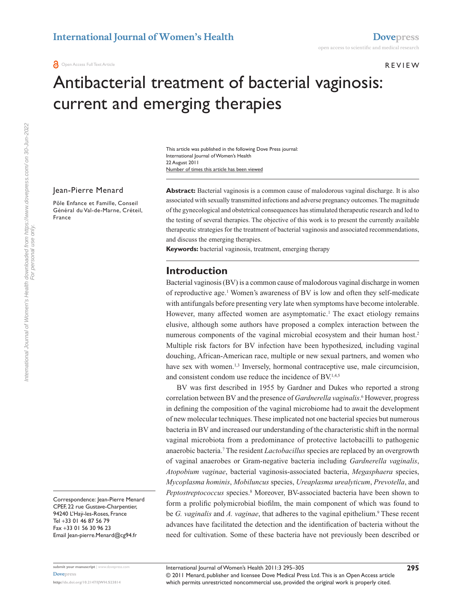#### **REVIEW**

# Antibacterial treatment of bacterial vaginosis: current and emerging therapies

Number of times this article has been viewed This article was published in the following Dove Press journal: International Journal of Women's Health 22 August 2011

#### Jean-Pierre Menard

Pôle Enfance et Famille, Conseil Général du Val-de-Marne, Créteil, France

**Abstract:** Bacterial vaginosis is a common cause of malodorous vaginal discharge. It is also associated with sexually transmitted infections and adverse pregnancy outcomes. The magnitude of the gynecological and obstetrical consequences has stimulated therapeutic research and led to the testing of several therapies. The objective of this work is to present the currently available therapeutic strategies for the treatment of bacterial vaginosis and associated recommendations, and discuss the emerging therapies.

**Keywords:** bacterial vaginosis, treatment, emerging therapy

## **Introduction**

Bacterial vaginosis (BV) is a common cause of malodorous vaginal discharge in women of reproductive age.<sup>1</sup> Women's awareness of BV is low and often they self-medicate with antifungals before presenting very late when symptoms have become intolerable. However, many affected women are asymptomatic.<sup>1</sup> The exact etiology remains elusive, although some authors have proposed a complex interaction between the numerous components of the vaginal microbial ecosystem and their human host.<sup>2</sup> Multiple risk factors for BV infection have been hypothesized, including vaginal douching, African-American race, multiple or new sexual partners, and women who have sex with women.<sup>1,3</sup> Inversely, hormonal contraceptive use, male circumcision, and consistent condom use reduce the incidence of BV.<sup>1,4,5</sup>

BV was first described in 1955 by Gardner and Dukes who reported a strong correlation between BV and the presence of *Gardnerella vaginalis*. 6 However, progress in defining the composition of the vaginal microbiome had to await the development of new molecular techniques. These implicated not one bacterial species but numerous bacteria in BV and increased our understanding of the characteristic shift in the normal vaginal microbiota from a predominance of protective lactobacilli to pathogenic anaerobic bacteria.7 The resident *Lactobacillus* species are replaced by an overgrowth of vaginal anaerobes or Gram-negative bacteria including *Gardnerella vaginalis*, *Atopobium vaginae*, bacterial vaginosis-associated bacteria, *Megasphaera* species, *Mycoplasma hominis*, *Mobiluncus* species, *Ureaplasma urealyticum*, *Prevotella*, and Peptostreptococcus species.<sup>8</sup> Moreover, BV-associated bacteria have been shown to form a prolific polymicrobial biofilm, the main component of which was found to be *G. vaginalis* and *A. vaginae*, that adheres to the vaginal epithelium.<sup>9</sup> These recent advances have facilitated the detection and the identification of bacteria without the need for cultivation. Some of these bacteria have not previously been described or

Correspondence: Jean-Pierre Menard CPEF, 22 rue Gustave-Charpentier, 94240 L'Haÿ-les-Roses, France Tel +33 01 46 87 56 79 Fax +33 01 56 30 96 23 Email [Jean-pierre.Menard@cg94.fr](mailto:Jean-pierre.Menard@cg94.fr)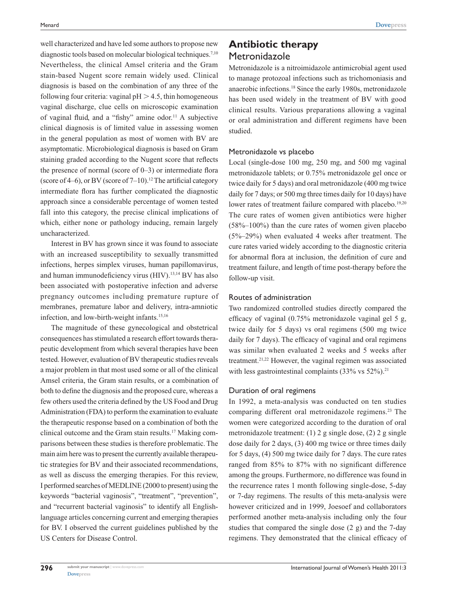well characterized and have led some authors to propose new diagnostic tools based on molecular biological techniques.<sup>7,10</sup> Nevertheless, the clinical Amsel criteria and the Gram stain-based Nugent score remain widely used. Clinical diagnosis is based on the combination of any three of the following four criteria: vaginal  $pH > 4.5$ , thin homogeneous vaginal discharge, clue cells on microscopic examination of vaginal fluid, and a "fishy" amine odor.11 A subjective clinical diagnosis is of limited value in assessing women in the general population as most of women with BV are asymptomatic. Microbiological diagnosis is based on Gram staining graded according to the Nugent score that reflects the presence of normal (score of  $0-3$ ) or intermediate flora (score of 4–6), or BV (score of  $7-10$ ).<sup>12</sup> The artificial category intermediate flora has further complicated the diagnostic approach since a considerable percentage of women tested fall into this category, the precise clinical implications of which, either none or pathology inducing, remain largely uncharacterized.

Interest in BV has grown since it was found to associate with an increased susceptibility to sexually transmitted infections, herpes simplex viruses, human papillomavirus, and human immunodeficiency virus (HIV).<sup>13,14</sup> BV has also been associated with postoperative infection and adverse pregnancy outcomes including premature rupture of membranes, premature labor and delivery, intra-amniotic infection, and low-birth-weight infants.<sup>15,16</sup>

The magnitude of these gynecological and obstetrical consequences has stimulated a research effort towards therapeutic development from which several therapies have been tested. However, evaluation of BV therapeutic studies reveals a major problem in that most used some or all of the clinical Amsel criteria, the Gram stain results, or a combination of both to define the diagnosis and the proposed cure, whereas a few others used the criteria defined by the US Food and Drug Administration (FDA) to perform the examination to evaluate the therapeutic response based on a combination of both the clinical outcome and the Gram stain results.17 Making comparisons between these studies is therefore problematic. The main aim here was to present the currently available therapeutic strategies for BV and their associated recommendations, as well as discuss the emerging therapies. For this review, I performed searches of MEDLINE (2000 to present) using the keywords "bacterial vaginosis", "treatment", "prevention", and "recurrent bacterial vaginosis" to identify all Englishlanguage articles concerning current and emerging therapies for BV. I observed the current guidelines published by the US Centers for Disease Control.

## **Antibiotic therapy Metronidazole**

Metronidazole is a nitroimidazole antimicrobial agent used to manage protozoal infections such as trichomoniasis and anaerobic infections.18 Since the early 1980s, metronidazole has been used widely in the treatment of BV with good clinical results. Various preparations allowing a vaginal or oral administration and different regimens have been studied.

#### Metronidazole vs placebo

Local (single-dose 100 mg, 250 mg, and 500 mg vaginal metronidazole tablets; or 0.75% metronidazole gel once or twice daily for 5 days) and oral metronidazole (400 mg twice daily for 7 days; or 500 mg three times daily for 10 days) have lower rates of treatment failure compared with placebo.<sup>19,20</sup> The cure rates of women given antibiotics were higher (58%–100%) than the cure rates of women given placebo (5%–29%) when evaluated 4 weeks after treatment. The cure rates varied widely according to the diagnostic criteria for abnormal flora at inclusion, the definition of cure and treatment failure, and length of time post-therapy before the follow-up visit.

### Routes of administration

Two randomized controlled studies directly compared the efficacy of vaginal (0.75% metronidazole vaginal gel 5 g, twice daily for 5 days) vs oral regimens (500 mg twice daily for 7 days). The efficacy of vaginal and oral regimens was similar when evaluated 2 weeks and 5 weeks after treatment.21,22 However, the vaginal regimen was associated with less gastrointestinal complaints  $(33\% \text{ vs } 52\%).$ <sup>21</sup>

## Duration of oral regimens

In 1992, a meta-analysis was conducted on ten studies comparing different oral metronidazole regimens.<sup>23</sup> The women were categorized according to the duration of oral metronidazole treatment: (1) 2 g single dose, (2) 2 g single dose daily for 2 days, (3) 400 mg twice or three times daily for 5 days, (4) 500 mg twice daily for 7 days. The cure rates ranged from 85% to 87% with no significant difference among the groups. Furthermore, no difference was found in the recurrence rates 1 month following single-dose, 5-day or 7-day regimens. The results of this meta-analysis were however criticized and in 1999, Joesoef and collaborators performed another meta-analysis including only the four studies that compared the single dose (2 g) and the 7-day regimens. They demonstrated that the clinical efficacy of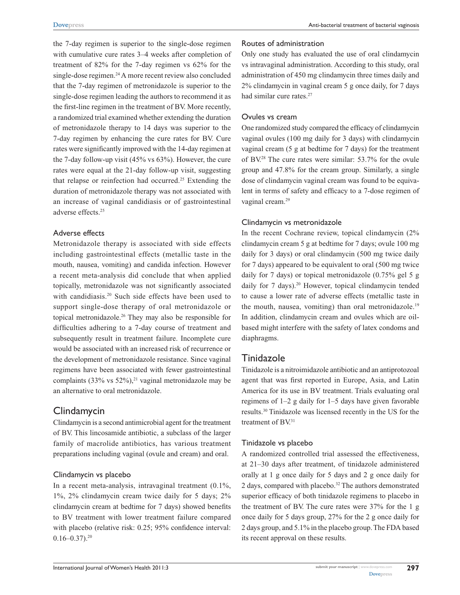the 7-day regimen is superior to the single-dose regimen with cumulative cure rates 3–4 weeks after completion of treatment of 82% for the 7-day regimen vs 62% for the single-dose regimen.<sup>24</sup> A more recent review also concluded that the 7-day regimen of metronidazole is superior to the single-dose regimen leading the authors to recommend it as the first-line regimen in the treatment of BV. More recently, a randomized trial examined whether extending the duration of metronidazole therapy to 14 days was superior to the 7-day regimen by enhancing the cure rates for BV. Cure rates were significantly improved with the 14-day regimen at the 7-day follow-up visit (45% vs 63%). However, the cure rates were equal at the 21-day follow-up visit, suggesting that relapse or reinfection had occurred.<sup>25</sup> Extending the duration of metronidazole therapy was not associated with an increase of vaginal candidiasis or of gastrointestinal adverse effects.25

#### Adverse effects

Metronidazole therapy is associated with side effects including gastrointestinal effects (metallic taste in the mouth, nausea, vomiting) and candida infection. However a recent meta-analysis did conclude that when applied topically, metronidazole was not significantly associated with candidiasis.<sup>20</sup> Such side effects have been used to support single-dose therapy of oral metronidazole or topical metronidazole.26 They may also be responsible for difficulties adhering to a 7-day course of treatment and subsequently result in treatment failure. Incomplete cure would be associated with an increased risk of recurrence or the development of metronidazole resistance. Since vaginal regimens have been associated with fewer gastrointestinal complaints  $(33\% \text{ vs } 52\%).$ <sup>21</sup> vaginal metronidazole may be an alternative to oral metronidazole.

## Clindamycin

Clindamycin is a second antimicrobial agent for the treatment of BV. This lincosamide antibiotic, a subclass of the larger family of macrolide antibiotics, has various treatment preparations including vaginal (ovule and cream) and oral.

#### Clindamycin vs placebo

In a recent meta-analysis, intravaginal treatment (0.1%, 1%, 2% clindamycin cream twice daily for 5 days; 2% clindamycin cream at bedtime for 7 days) showed benefits to BV treatment with lower treatment failure compared with placebo (relative risk: 0.25; 95% confidence interval:  $0.16 - 0.37$ .<sup>20</sup>

#### Routes of administration

Only one study has evaluated the use of oral clindamycin vs intravaginal administration. According to this study, oral administration of 450 mg clindamycin three times daily and 2% clindamycin in vaginal cream 5 g once daily, for 7 days had similar cure rates.<sup>27</sup>

#### Ovules vs cream

One randomized study compared the efficacy of clindamycin vaginal ovules (100 mg daily for 3 days) with clindamycin vaginal cream (5 g at bedtime for 7 days) for the treatment of BV.28 The cure rates were similar: 53.7% for the ovule group and 47.8% for the cream group. Similarly, a single dose of clindamycin vaginal cream was found to be equivalent in terms of safety and efficacy to a 7-dose regimen of vaginal cream.<sup>29</sup>

#### Clindamycin vs metronidazole

In the recent Cochrane review, topical clindamycin (2% clindamycin cream 5 g at bedtime for 7 days; ovule 100 mg daily for 3 days) or oral clindamycin (500 mg twice daily for 7 days) appeared to be equivalent to oral (500 mg twice daily for 7 days) or topical metronidazole (0.75% gel 5 g daily for 7 days).<sup>20</sup> However, topical clindamycin tended to cause a lower rate of adverse effects (metallic taste in the mouth, nausea, vomiting) than oral metronidazole.<sup>19</sup> In addition, clindamycin cream and ovules which are oilbased might interfere with the safety of latex condoms and diaphragms.

## Tinidazole

Tinidazole is a nitroimidazole antibiotic and an antiprotozoal agent that was first reported in Europe, Asia, and Latin America for its use in BV treatment. Trials evaluating oral regimens of 1–2 g daily for 1–5 days have given favorable results.30 Tinidazole was licensed recently in the US for the treatment of BV.<sup>31</sup>

#### Tinidazole vs placebo

A randomized controlled trial assessed the effectiveness, at 21–30 days after treatment, of tinidazole administered orally at 1 g once daily for 5 days and 2 g once daily for 2 days, compared with placebo.32 The authors demonstrated superior efficacy of both tinidazole regimens to placebo in the treatment of BV. The cure rates were 37% for the 1 g once daily for 5 days group, 27% for the 2 g once daily for 2 days group, and 5.1% in the placebo group. The FDA based its recent approval on these results.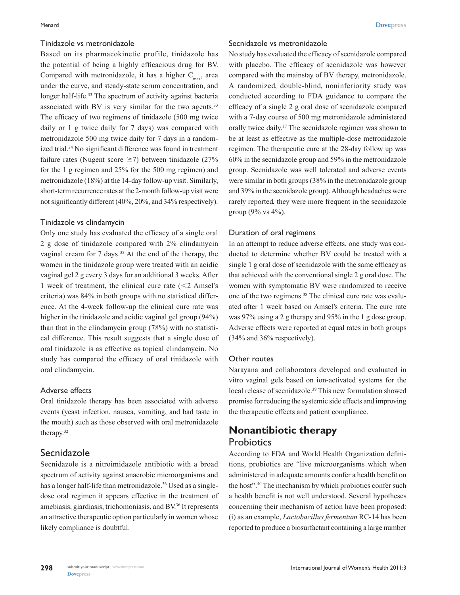#### Tinidazole vs metronidazole

Based on its pharmacokinetic profile, tinidazole has the potential of being a highly efficacious drug for BV. Compared with metronidazole, it has a higher  $C_{\text{max}}$ , area under the curve, and steady-state serum concentration, and longer half-life.<sup>33</sup> The spectrum of activity against bacteria associated with BV is very similar for the two agents.<sup>33</sup> The efficacy of two regimens of tinidazole (500 mg twice daily or 1 g twice daily for 7 days) was compared with metronidazole 500 mg twice daily for 7 days in a randomized trial.34 No significant difference was found in treatment failure rates (Nugent score  $\geq$ 7) between tinidazole (27% for the 1 g regimen and 25% for the 500 mg regimen) and metronidazole (18%) at the 14-day follow-up visit. Similarly, short-term recurrence rates at the 2-month follow-up visit were not significantly different (40%, 20%, and 34% respectively).

#### Tinidazole vs clindamycin

Only one study has evaluated the efficacy of a single oral 2 g dose of tinidazole compared with 2% clindamycin vaginal cream for 7 days.<sup>35</sup> At the end of the therapy, the women in the tinidazole group were treated with an acidic vaginal gel 2 g every 3 days for an additional 3 weeks. After 1 week of treatment, the clinical cure rate  $\langle$  <2 Amsel's criteria) was 84% in both groups with no statistical difference. At the 4-week follow-up the clinical cure rate was higher in the tinidazole and acidic vaginal gel group (94%) than that in the clindamycin group (78%) with no statistical difference. This result suggests that a single dose of oral tinidazole is as effective as topical clindamycin. No study has compared the efficacy of oral tinidazole with oral clindamycin.

## Adverse effects

Oral tinidazole therapy has been associated with adverse events (yeast infection, nausea, vomiting, and bad taste in the mouth) such as those observed with oral metronidazole therapy.32

## Secnidazole

Secnidazole is a nitroimidazole antibiotic with a broad spectrum of activity against anaerobic microorganisms and has a longer half-life than metronidazole.<sup>36</sup> Used as a singledose oral regimen it appears effective in the treatment of amebiasis, giardiasis, trichomoniasis, and BV.36 It represents an attractive therapeutic option particularly in women whose likely compliance is doubtful.

#### Secnidazole vs metronidazole

No study has evaluated the efficacy of secnidazole compared with placebo. The efficacy of secnidazole was however compared with the mainstay of BV therapy, metronidazole. A randomized, double-blind, noninferiority study was conducted according to FDA guidance to compare the efficacy of a single 2 g oral dose of secnidazole compared with a 7-day course of 500 mg metronidazole administered orally twice daily.37 The secnidazole regimen was shown to be at least as effective as the multiple-dose metronidazole regimen. The therapeutic cure at the 28-day follow up was 60% in the secnidazole group and 59% in the metronidazole group. Secnidazole was well tolerated and adverse events were similar in both groups (38% in the metronidazole group and 39% in the secnidazole group). Although headaches were rarely reported, they were more frequent in the secnidazole group (9% vs 4%).

## Duration of oral regimens

In an attempt to reduce adverse effects, one study was conducted to determine whether BV could be treated with a single 1 g oral dose of secnidazole with the same efficacy as that achieved with the conventional single 2 g oral dose. The women with symptomatic BV were randomized to receive one of the two regimens.38 The clinical cure rate was evaluated after 1 week based on Amsel's criteria. The cure rate was 97% using a 2 g therapy and 95% in the 1 g dose group. Adverse effects were reported at equal rates in both groups (34% and 36% respectively).

#### Other routes

Narayana and collaborators developed and evaluated in vitro vaginal gels based on ion-activated systems for the local release of secnidazole.<sup>39</sup> This new formulation showed promise for reducing the systemic side effects and improving the therapeutic effects and patient compliance.

# **Nonantibiotic therapy Probiotics**

According to FDA and World Health Organization definitions, probiotics are "live microorganisms which when administered in adequate amounts confer a health benefit on the host".40 The mechanism by which probiotics confer such a health benefit is not well understood. Several hypotheses concerning their mechanism of action have been proposed: (i) as an example, *Lactobacillus fermentum* RC-14 has been reported to produce a biosurfactant containing a large number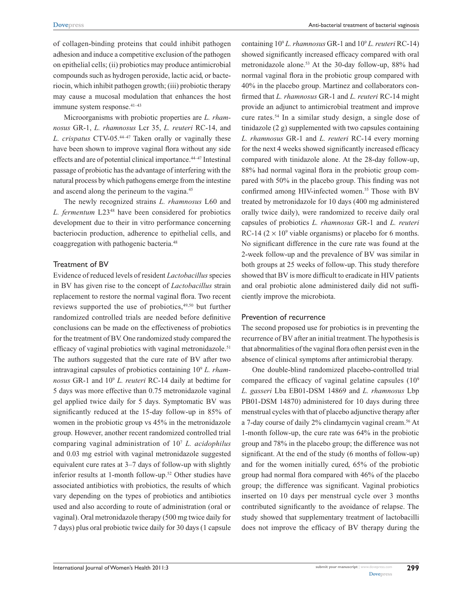of collagen-binding proteins that could inhibit pathogen adhesion and induce a competitive exclusion of the pathogen on epithelial cells; (ii) probiotics may produce antimicrobial compounds such as hydrogen peroxide, lactic acid, or bacteriocin, which inhibit pathogen growth; (iii) probiotic therapy may cause a mucosal modulation that enhances the host immune system response.<sup>41-43</sup>

Microorganisms with probiotic properties are *L. rhamnosus* GR-1, *L. rhamnosus* Lcr 35, *L. reuteri* RC-14, and *L. crispatus* CTV-05.44–47 Taken orally or vaginally these have been shown to improve vaginal flora without any side effects and are of potential clinical importance.<sup>44-47</sup> Intestinal passage of probiotic has the advantage of interfering with the natural process by which pathogens emerge from the intestine and ascend along the perineum to the vagina.<sup>45</sup>

The newly recognized strains *L. rhamnosus* L60 and *L. fermentum* L2348 have been considered for probiotics development due to their in vitro performance concerning bacteriocin production, adherence to epithelial cells, and coaggregation with pathogenic bacteria.48

#### Treatment of BV

Evidence of reduced levels of resident *Lactobacillus*species in BV has given rise to the concept of *Lactobacillus* strain replacement to restore the normal vaginal flora. Two recent reviews supported the use of probiotics,<sup>49,50</sup> but further randomized controlled trials are needed before definitive conclusions can be made on the effectiveness of probiotics for the treatment of BV. One randomized study compared the efficacy of vaginal probiotics with vaginal metronidazole.<sup>51</sup> The authors suggested that the cure rate of BV after two intravaginal capsules of probiotics containing 109 *L. rhamnosus* GR-1 and 109 *L. reuteri* RC-14 daily at bedtime for 5 days was more effective than 0.75 metronidazole vaginal gel applied twice daily for 5 days. Symptomatic BV was significantly reduced at the 15-day follow-up in 85% of women in the probiotic group vs 45% in the metronidazole group. However, another recent randomized controlled trial comparing vaginal administration of 107 *L. acidophilus* and 0.03 mg estriol with vaginal metronidazole suggested equivalent cure rates at 3–7 days of follow-up with slightly inferior results at 1-month follow-up.<sup>52</sup> Other studies have associated antibiotics with probiotics, the results of which vary depending on the types of probiotics and antibiotics used and also according to route of administration (oral or vaginal). Oral metronidazole therapy (500 mg twice daily for 7 days) plus oral probiotic twice daily for 30 days (1 capsule

containing 109 *L. rhamnosus* GR-1 and 109 *L. reuteri* RC-14) showed significantly increased efficacy compared with oral metronidazole alone.53 At the 30-day follow-up, 88% had normal vaginal flora in the probiotic group compared with 40% in the placebo group. Martinez and collaborators confirmed that *L. rhamnosus* GR-1 and *L. reuteri* RC-14 might provide an adjunct to antimicrobial treatment and improve cure rates.54 In a similar study design, a single dose of tinidazole (2 g) supplemented with two capsules containing *L. rhamnosus* GR-1 and *L. reuteri* RC-14 every morning for the next 4 weeks showed significantly increased efficacy compared with tinidazole alone. At the 28-day follow-up, 88% had normal vaginal flora in the probiotic group compared with 50% in the placebo group. This finding was not confirmed among HIV-infected women.<sup>55</sup> Those with BV treated by metronidazole for 10 days (400 mg administered orally twice daily), were randomized to receive daily oral capsules of probiotics *L. rhamnosus* GR-1 and *L. reuteri* RC-14 ( $2 \times 10^9$  viable organisms) or placebo for 6 months. No significant difference in the cure rate was found at the 2-week follow-up and the prevalence of BV was similar in both groups at 25 weeks of follow-up. This study therefore showed that BV is more difficult to eradicate in HIV patients and oral probiotic alone administered daily did not sufficiently improve the microbiota.

#### Prevention of recurrence

The second proposed use for probiotics is in preventing the recurrence of BV after an initial treatment. The hypothesis is that abnormalities of the vaginal flora often persist even in the absence of clinical symptoms after antimicrobial therapy.

One double-blind randomized placebo-controlled trial compared the efficacy of vaginal gelatine capsules (109 *L. gasseri* Lba EB01-DSM 14869 and *L. rhamnosus* Lbp PB01-DSM 14870) administered for 10 days during three menstrual cycles with that of placebo adjunctive therapy after a 7-day course of daily 2% clindamycin vaginal cream.56 At 1-month follow-up, the cure rate was 64% in the probiotic group and 78% in the placebo group; the difference was not significant. At the end of the study (6 months of follow-up) and for the women initially cured, 65% of the probiotic group had normal flora compared with 46% of the placebo group; the difference was significant. Vaginal probiotics inserted on 10 days per menstrual cycle over 3 months contributed significantly to the avoidance of relapse. The study showed that supplementary treatment of lactobacilli does not improve the efficacy of BV therapy during the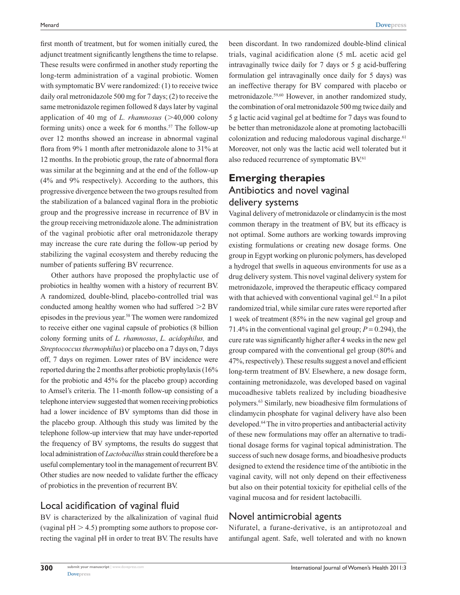first month of treatment, but for women initially cured, the adjunct treatment significantly lengthens the time to relapse. These results were confirmed in another study reporting the long-term administration of a vaginal probiotic. Women with symptomatic BV were randomized: (1) to receive twice daily oral metronidazole 500 mg for 7 days; (2) to receive the same metronidazole regimen followed 8 days later by vaginal application of 40 mg of *L. rhamnosus*  $(>40,000 \text{ colony})$ forming units) once a week for 6 months.<sup>57</sup> The follow-up over 12 months showed an increase in abnormal vaginal flora from 9% 1 month after metronidazole alone to 31% at 12 months. In the probiotic group, the rate of abnormal flora was similar at the beginning and at the end of the follow-up (4% and 9% respectively). According to the authors, this progressive divergence between the two groups resulted from the stabilization of a balanced vaginal flora in the probiotic group and the progressive increase in recurrence of BV in the group receiving metronidazole alone. The administration of the vaginal probiotic after oral metronidazole therapy may increase the cure rate during the follow-up period by stabilizing the vaginal ecosystem and thereby reducing the number of patients suffering BV recurrence.

Other authors have proposed the prophylactic use of probiotics in healthy women with a history of recurrent BV. A randomized, double-blind, placebo-controlled trial was conducted among healthy women who had suffered  $>2$  BV episodes in the previous year.58 The women were randomized to receive either one vaginal capsule of probiotics (8 billion colony forming units of *L. rhamnosus*, *L. acidophilus,* and *Streptococcus thermophilus*) or placebo on a 7 days on, 7 days off, 7 days on regimen. Lower rates of BV incidence were reported during the 2 months after probiotic prophylaxis (16% for the probiotic and 45% for the placebo group) according to Amsel's criteria. The 11-month follow-up consisting of a telephone interview suggested that women receiving probiotics had a lower incidence of BV symptoms than did those in the placebo group. Although this study was limited by the telephone follow-up interview that may have under-reported the frequency of BV symptoms, the results do suggest that local administration of *Lactobacillus* strain could therefore be a useful complementary tool in the management of recurrent BV. Other studies are now needed to validate further the efficacy of probiotics in the prevention of recurrent BV.

## Local acidification of vaginal fluid

BV is characterized by the alkalinization of vaginal fluid (vaginal  $pH > 4.5$ ) prompting some authors to propose correcting the vaginal pH in order to treat BV. The results have been discordant. In two randomized double-blind clinical trials, vaginal acidification alone (5 mL acetic acid gel intravaginally twice daily for 7 days or 5 g acid-buffering formulation gel intravaginally once daily for 5 days) was an ineffective therapy for BV compared with placebo or metronidazole.59,60 However, in another randomized study, the combination of oral metronidazole 500mg twice daily and 5 g lactic acid vaginal gel at bedtime for 7 days was found to be better than metronidazole alone at promoting lactobacilli colonization and reducing malodorous vaginal discharge. $61$ Moreover, not only was the lactic acid well tolerated but it also reduced recurrence of symptomatic BV.<sup>61</sup>

# **Emerging therapies** Antibiotics and novel vaginal delivery systems

Vaginal delivery of metronidazole or clindamycin is the most common therapy in the treatment of BV, but its efficacy is not optimal. Some authors are working towards improving existing formulations or creating new dosage forms. One group in Egypt working on pluronic polymers, has developed a hydrogel that swells in aqueous environments for use as a drug delivery system. This novel vaginal delivery system for metronidazole, improved the therapeutic efficacy compared with that achieved with conventional vaginal gel.<sup>62</sup> In a pilot randomized trial, while similar cure rates were reported after 1 week of treatment (85% in the new vaginal gel group and 71.4% in the conventional vaginal gel group;  $P = 0.294$ ), the cure rate was significantly higher after 4 weeks in the new gel group compared with the conventional gel group (80% and 47%, respectively). These results suggest a novel and efficient long-term treatment of BV. Elsewhere, a new dosage form, containing metronidazole, was developed based on vaginal mucoadhesive tablets realized by including bioadhesive polymers.63 Similarly, new bioadhesive film formulations of clindamycin phosphate for vaginal delivery have also been developed.64 The in vitro properties and antibacterial activity of these new formulations may offer an alternative to traditional dosage forms for vaginal topical administration. The success of such new dosage forms, and bioadhesive products designed to extend the residence time of the antibiotic in the vaginal cavity, will not only depend on their effectiveness but also on their potential toxicity for epithelial cells of the vaginal mucosa and for resident lactobacilli.

## Novel antimicrobial agents

Nifuratel, a furane-derivative, is an antiprotozoal and antifungal agent. Safe, well tolerated and with no known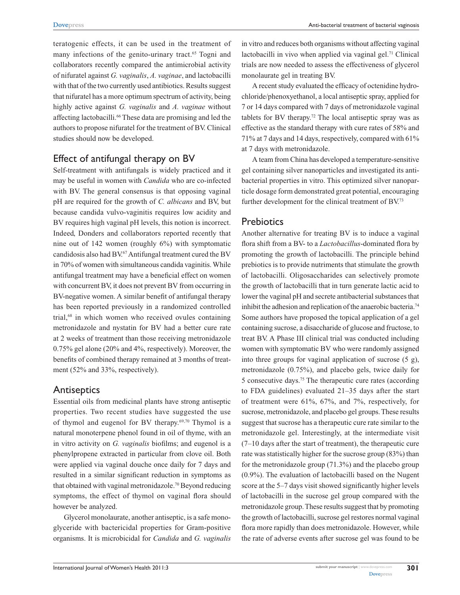teratogenic effects, it can be used in the treatment of many infections of the genito-urinary tract.<sup>65</sup> Togni and collaborators recently compared the antimicrobial activity of nifuratel against *G. vaginalis*, *A. vaginae*, and lactobacilli with that of the two currently used antibiotics. Results suggest that nifuratel has a more optimum spectrum of activity, being highly active against *G. vaginalis* and *A. vaginae* without affecting lactobacilli.<sup>66</sup> These data are promising and led the authors to propose nifuratel for the treatment of BV. Clinical studies should now be developed.

## Effect of antifungal therapy on BV

Self-treatment with antifungals is widely practiced and it may be useful in women with *Candida* who are co-infected with BV. The general consensus is that opposing vaginal pH are required for the growth of *C. albicans* and BV, but because candida vulvo-vaginitis requires low acidity and BV requires high vaginal pH levels, this notion is incorrect. Indeed, Donders and collaborators reported recently that nine out of 142 women (roughly 6%) with symptomatic candidosis also had BV.67 Antifungal treatment cured the BV in 70% of women with simultaneous candida vaginitis. While antifungal treatment may have a beneficial effect on women with concurrent BV, it does not prevent BV from occurring in BV-negative women. A similar benefit of antifungal therapy has been reported previously in a randomized controlled trial,<sup>68</sup> in which women who received ovules containing metronidazole and nystatin for BV had a better cure rate at 2 weeks of treatment than those receiving metronidazole 0.75% gel alone (20% and 4%, respectively). Moreover, the benefits of combined therapy remained at 3 months of treatment (52% and 33%, respectively).

## **Antiseptics**

Essential oils from medicinal plants have strong antiseptic properties. Two recent studies have suggested the use of thymol and eugenol for BV therapy.<sup>69,70</sup> Thymol is a natural monoterpene phenol found in oil of thyme, with an in vitro activity on *G. vaginalis* biofilms; and eugenol is a phenylpropene extracted in particular from clove oil. Both were applied via vaginal douche once daily for 7 days and resulted in a similar significant reduction in symptoms as that obtained with vaginal metronidazole.<sup>70</sup> Beyond reducing symptoms, the effect of thymol on vaginal flora should however be analyzed.

Glycerol monolaurate, another antiseptic, is a safe monoglyceride with bactericidal properties for Gram-positive organisms. It is microbicidal for *Candida* and *G. vaginalis* in vitro and reduces both organisms without affecting vaginal lactobacilli in vivo when applied via vaginal gel.<sup>71</sup> Clinical trials are now needed to assess the effectiveness of glycerol monolaurate gel in treating BV.

A recent study evaluated the efficacy of octenidine hydrochloride/phenoxyethanol, a local antiseptic spray, applied for 7 or 14 days compared with 7 days of metronidazole vaginal tablets for BV therapy.<sup>72</sup> The local antiseptic spray was as effective as the standard therapy with cure rates of 58% and 71% at 7 days and 14 days, respectively, compared with 61% at 7 days with metronidazole.

A team from China has developed a temperature-sensitive gel containing silver nanoparticles and investigated its antibacterial properties in vitro. This optimized silver nanoparticle dosage form demonstrated great potential, encouraging further development for the clinical treatment of BV.<sup>73</sup>

## **Prebiotics**

Another alternative for treating BV is to induce a vaginal flora shift from a BV- to a *Lactobacillus*-dominated flora by promoting the growth of lactobacilli. The principle behind prebiotics is to provide nutriments that stimulate the growth of lactobacilli. Oligosaccharides can selectively promote the growth of lactobacilli that in turn generate lactic acid to lower the vaginal pH and secrete antibacterial substances that inhibit the adhesion and replication of the anaerobic bacteria.<sup>74</sup> Some authors have proposed the topical application of a gel containing sucrose, a disaccharide of glucose and fructose, to treat BV. A Phase III clinical trial was conducted including women with symptomatic BV who were randomly assigned into three groups for vaginal application of sucrose (5 g), metronidazole (0.75%), and placebo gels, twice daily for 5 consecutive days.75 The therapeutic cure rates (according to FDA guidelines) evaluated 21–35 days after the start of treatment were 61%, 67%, and 7%, respectively, for sucrose, metronidazole, and placebo gel groups. These results suggest that sucrose has a therapeutic cure rate similar to the metronidazole gel. Interestingly, at the intermediate visit (7–10 days after the start of treatment), the therapeutic cure rate was statistically higher for the sucrose group (83%) than for the metronidazole group (71.3%) and the placebo group (0.9%). The evaluation of lactobacilli based on the Nugent score at the 5–7 days visit showed significantly higher levels of lactobacilli in the sucrose gel group compared with the metronidazole group. These results suggest that by promoting the growth of lactobacilli, sucrose gel restores normal vaginal flora more rapidly than does metronidazole. However, while the rate of adverse events after sucrose gel was found to be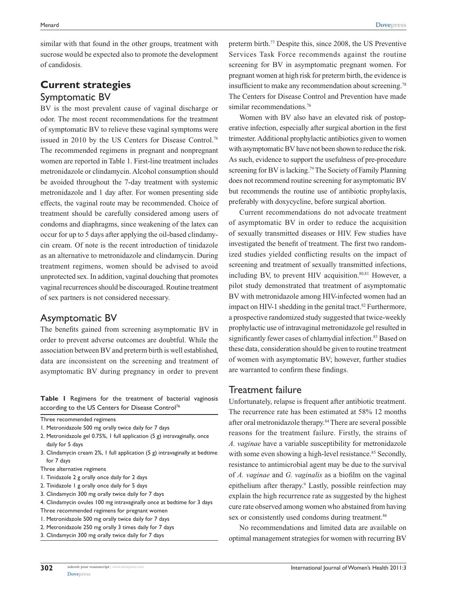similar with that found in the other groups, treatment with sucrose would be expected also to promote the development of candidosis.

# **Current strategies** Symptomatic BV

BV is the most prevalent cause of vaginal discharge or odor. The most recent recommendations for the treatment of symptomatic BV to relieve these vaginal symptoms were issued in 2010 by the US Centers for Disease Control.<sup>76</sup> The recommended regimens in pregnant and nonpregnant women are reported in Table 1. First-line treatment includes metronidazole or clindamycin. Alcohol consumption should be avoided throughout the 7-day treatment with systemic metronidazole and 1 day after. For women presenting side effects, the vaginal route may be recommended. Choice of treatment should be carefully considered among users of condoms and diaphragms, since weakening of the latex can occur for up to 5 days after applying the oil-based clindamycin cream. Of note is the recent introduction of tinidazole as an alternative to metronidazole and clindamycin. During treatment regimens, women should be advised to avoid unprotected sex. In addition, vaginal douching that promotes vaginal recurrences should be discouraged. Routine treatment of sex partners is not considered necessary.

# Asymptomatic BV

The benefits gained from screening asymptomatic BV in order to prevent adverse outcomes are doubtful. While the association between BV and preterm birth is well established, data are inconsistent on the screening and treatment of asymptomatic BV during pregnancy in order to prevent

**Table 1** Regimens for the treatment of bacterial vaginosis according to the US Centers for Disease Control<sup>76</sup>

- 3. Clindamycin cream 2%, 1 full application (5 g) intravaginally at bedtime for 7 days
- Three alternative regimens
- 1. Tinidazole 2 g orally once daily for 2 days
- 2. Tinidazole 1 g orally once daily for 5 days
- 3. Clindamycin 300 mg orally twice daily for 7 days
- 4. Clindamycin ovules 100 mg intravaginally once at bedtime for 3 days
- Three recommended regimens for pregnant women
- 1. Metronidazole 500 mg orally twice daily for 7 days
- 2. Metronidazole 250 mg orally 3 times daily for 7 days
- 3. Clindamycin 300 mg orally twice daily for 7 days

preterm birth.77 Despite this, since 2008, the US Preventive Services Task Force recommends against the routine screening for BV in asymptomatic pregnant women. For pregnant women at high risk for preterm birth, the evidence is insufficient to make any recommendation about screening.78 The Centers for Disease Control and Prevention have made similar recommendations.<sup>76</sup>

Women with BV also have an elevated risk of postoperative infection, especially after surgical abortion in the first trimester. Additional prophylactic antibiotics given to women with asymptomatic BV have not been shown to reduce the risk. As such, evidence to support the usefulness of pre-procedure screening for BV is lacking.<sup>79</sup> The Society of Family Planning does not recommend routine screening for asymptomatic BV but recommends the routine use of antibiotic prophylaxis, preferably with doxycycline, before surgical abortion.

Current recommendations do not advocate treatment of asymptomatic BV in order to reduce the acquisition of sexually transmitted diseases or HIV. Few studies have investigated the benefit of treatment. The first two randomized studies yielded conflicting results on the impact of screening and treatment of sexually transmitted infections, including BV, to prevent HIV acquisition. $80,81$  However, a pilot study demonstrated that treatment of asymptomatic BV with metronidazole among HIV-infected women had an impact on HIV-1 shedding in the genital tract. $82$  Furthermore, a prospective randomized study suggested that twice-weekly prophylactic use of intravaginal metronidazole gel resulted in significantly fewer cases of chlamydial infection.<sup>83</sup> Based on these data, consideration should be given to routine treatment of women with asymptomatic BV; however, further studies are warranted to confirm these findings.

## Treatment failure

Unfortunately, relapse is frequent after antibiotic treatment. The recurrence rate has been estimated at 58% 12 months after oral metronidazole therapy.84 There are several possible reasons for the treatment failure. Firstly, the strains of *A. vaginae* have a variable susceptibility for metronidazole with some even showing a high-level resistance.<sup>85</sup> Secondly, resistance to antimicrobial agent may be due to the survival of *A. vaginae* and *G. vaginalis* as a biofilm on the vaginal epithelium after therapy.<sup>9</sup> Lastly, possible reinfection may explain the high recurrence rate as suggested by the highest cure rate observed among women who abstained from having sex or consistently used condoms during treatment.<sup>86</sup>

No recommendations and limited data are available on optimal management strategies for women with recurring BV

Three recommended regimens

<sup>1.</sup> Metronidazole 500 mg orally twice daily for 7 days

<sup>2.</sup> Metronidazole gel 0.75%, 1 full application (5 g) intravaginally, once daily for 5 days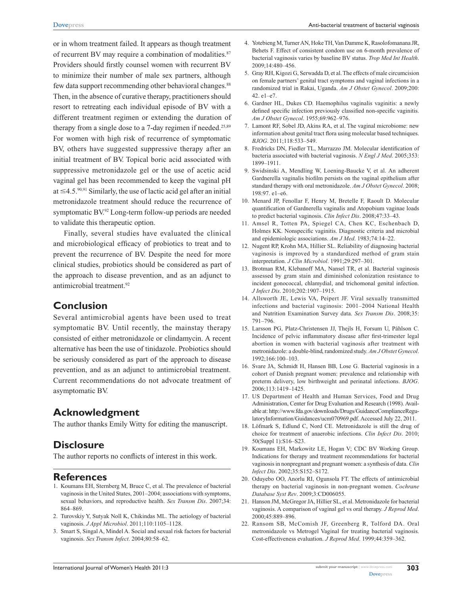or in whom treatment failed. It appears as though treatment of recurrent BV may require a combination of modalities.<sup>87</sup> Providers should firstly counsel women with recurrent BV to minimize their number of male sex partners, although few data support recommending other behavioral changes.<sup>88</sup> Then, in the absence of curative therapy, practitioners should resort to retreating each individual episode of BV with a different treatment regimen or extending the duration of therapy from a single dose to a 7-day regimen if needed.<sup>25,89</sup> For women with high risk of recurrence of symptomatic BV, others have suggested suppressive therapy after an initial treatment of BV. Topical boric acid associated with suppressive metronidazole gel or the use of acetic acid vaginal gel has been recommended to keep the vaginal pH at  $\leq$ 4.5.<sup>90,91</sup> Similarly, the use of lactic acid gel after an initial metronidazole treatment should reduce the recurrence of symptomatic BV.92 Long-term follow-up periods are needed to validate this therapeutic option.

Finally, several studies have evaluated the clinical and microbiological efficacy of probiotics to treat and to prevent the recurrence of BV. Despite the need for more clinical studies, probiotics should be considered as part of the approach to disease prevention, and as an adjunct to antimicrobial treatment.<sup>92</sup>

## **Conclusion**

Several antimicrobial agents have been used to treat symptomatic BV. Until recently, the mainstay therapy consisted of either metronidazole or clindamycin. A recent alternative has been the use of tinidazole. Probiotics should be seriously considered as part of the approach to disease prevention, and as an adjunct to antimicrobial treatment. Current recommendations do not advocate treatment of asymptomatic BV.

# **Acknowledgment**

The author thanks Emily Witty for editing the manuscript.

## **Disclosure**

The author reports no conflicts of interest in this work.

## **References**

- 1. Koumans EH, Sternberg M, Bruce C, et al. The prevalence of bacterial vaginosis in the United States, 2001–2004; associations with symptoms, sexual behaviors, and reproductive health. *Sex Transm Dis*. 2007;34: 864–869.
- 2. Turovskiy Y, Sutyak Noll K, Chikindas ML. The aetiology of bacterial vaginosis. *J Appl Microbiol*. 2011;110:1105–1128.
- 3. Smart S, Singal A, Mindel A. Social and sexual risk factors for bacterial vaginosis. *Sex Transm Infect*. 2004;80:58–62.
- 4. Yotebieng M, Turner AN, Hoke TH, Van Damme K, Rasolofomanana JR, Behets F. Effect of consistent condom use on 6-month prevalence of bacterial vaginosis varies by baseline BV status. *Trop Med Int Health*. 2009;14:480–456.
- 5. Gray RH, Kigozi G, Serwadda D, et al. The effects of male circumcision on female partners' genital tract symptoms and vaginal infections in a randomized trial in Rakai, Uganda. *Am J Obstet Gynecol*. 2009;200: 42. e1–e7.
- 6. Gardner HL, Dukes CD. Haemophilus vaginalis vaginitis: a newly defined specific infection previously classified non-specific vaginitis. *Am J Obstet Gynecol*. 1955;69:962–976.
- 7. Lamont RF, Sobel JD, Akins RA, et al. The vaginal microbiome: new information about genital tract flora using molecular based techniques. *BJOG*. 2011;118:533–549.
- 8. Fredricks DN, Fiedler TL, Marrazzo JM. Molecular identification of bacteria associated with bacterial vaginosis. *N Engl J Med*. 2005;353: 1899–1911.
- 9. Swidsinski A, Mendling W, Loening-Baucke V, et al. An adherent Gardnerella vaginalis biofilm persists on the vaginal epithelium after standard therapy with oral metronidazole. *Am J Obstet Gynecol*. 2008; 198:97. e1–e6.
- 10. Menard JP, Fenollar F, Henry M, Bretelle F, Raoult D. Molecular quantification of Gardnerella vaginalis and Atopobium vaginae loads to predict bacterial vaginosis. *Clin Infect Dis*. 2008;47:33–43.
- 11. Amsel R, Totten PA, Spiegel CA, Chen KC, Eschenbach D, Holmes KK. Nonspecific vaginitis. Diagnostic criteria and microbial and epidemiologic associations. *Am J Med*. 1983;74:14–22.
- 12. Nugent RP, Krohn MA, Hillier SL. Reliability of diagnosing bacterial vaginosis is improved by a standardized method of gram stain interpretation. *J Clin Microbiol*. 1991;29:297–301.
- 13. Brotman RM, Klebanoff MA, Nansel TR, et al. Bacterial vaginosis assessed by gram stain and diminished colonization resistance to incident gonococcal, chlamydial, and trichomonal genital infection. *J Infect Dis*. 2010;202:1907–1915.
- 14. Allsworth JE, Lewis VA, Peipert JF. Viral sexually transmitted infections and bacterial vaginosis: 2001–2004 National Health and Nutrition Examination Survey data. *Sex Transm Dis*. 2008;35: 791–796.
- 15. Larsson PG, Platz-Christensen JJ, Thejls H, Forsum U, Påhlson C. Incidence of pelvic inflammatory disease after first-trimester legal abortion in women with bacterial vaginosis after treatment with metronidazole: a double-blind, randomized study. *Am J Obstet Gynecol*. 1992;166:100–103.
- 16. Svare JA, Schmidt H, Hansen BB, Lose G. Bacterial vaginosis in a cohort of Danish pregnant women: prevalence and relationship with preterm delivery, low birthweight and perinatal infections. *BJOG*. 2006;113:1419–1425.
- 17. US Department of Health and Human Services, Food and Drug Administration, Center for Drug Evaluation and Research (1998). Available at: http://www.fda.gov/downloads/Drugs/GuidanceComplianceRegulatoryInformation/Guidances/ucm070969.pdf. Accessed July 22, 2011.
- 18. Löfmark S, Edlund C, Nord CE. Metronidazole is still the drug of choice for treatment of anaerobic infections. *Clin Infect Dis*. 2010; 50(Suppl 1):S16–S23.
- 19. Koumans EH, Markowitz LE, Hogan V; CDC BV Working Group. Indications for therapy and treatment recommendations for bacterial vaginosis in nonpregnant and pregnant women: a synthesis of data. *Clin Infect Dis*. 2002;35:S152–S172.
- 20. Oduyebo OO, Anorlu RI, Ogunsola FT. The effects of antimicrobial therapy on bacterial vaginosis in non-pregnant women. *Cochrane Database Syst Rev*. 2009;3:CD006055.
- 21. Hanson JM, McGregor JA, Hillier SL, et al. Metronidazole for bacterial vaginosis. A comparison of vaginal gel vs oral therapy. *J Reprod Med*. 2000;45:889–896.
- 22. Ransom SB, McComish JF, Greenberg R, Tolford DA. Oral metronidazole vs Metrogel Vaginal for treating bacterial vaginosis. Cost-effectiveness evaluation. *J Reprod Med*. 1999;44:359–362.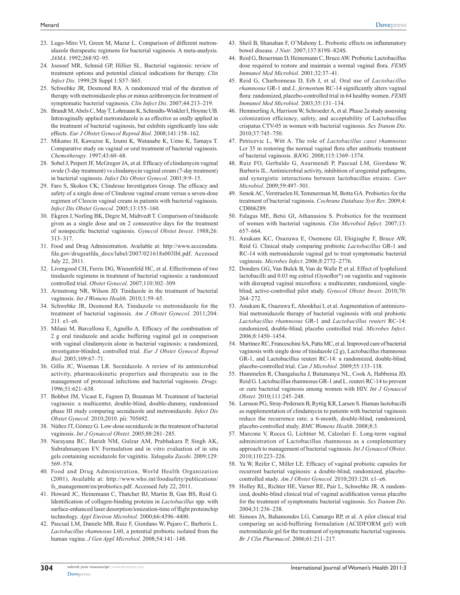- 23. Lugo-Miro VI, Green M, Mazur L. Comparison of different metronidazole therapeutic regimens for bacterial vaginosis. A meta-analysis. *JAMA*. 1992;268:92–95.
- 24. Joesoef MR, Schmid GP, Hillier SL. Bacterial vaginosis: review of treatment options and potential clinical indications for therapy. *Clin Infect Dis*. 1999;28 Suppl 1:S57–S65.
- 25. Schwebke JR, Desmond RA. A randomized trial of the duration of therapy with metronidazole plus or minus azithromycin for treatment of symptomatic bacterial vaginosis. *Clin Infect Dis*. 2007;44:213–219.
- 26. Brandt M, Abels C, May T, Lohmann K, Schmidts-Winkler I, Hoyme UB. Intravaginally applied metronidazole is as effective as orally applied in the treatment of bacterial vaginosis, but exhibits significantly less side effects. *Eur J Obstet Gynecol Reprod Biol*. 2008;141:158–162.
- 27. Mikamo H, Kawazoe K, Izumi K, Watanabe K, Ueno K, Tamaya T. Comparative study on vaginal or oral treatment of bacterial vaginosis. *Chemotherapy*. 1997;43:60–68.
- 28. Sobel J, Peipert JF, McGregor JA, et al. Efficacy of clindamycin vaginal ovule (3-day treatment) vs clindamycin vaginal cream (7-day treatment) in bacterial vaginosis. *Infect Dis Obstet Gynecol*. 2001;9:9–15.
- 29. Faro S, Skokos CK; Clindesse Investigators Group. The efficacy and safety of a single dose of Clindesse vaginal cream versus a seven-dose regimen of Cleocin vaginal cream in patients with bacterial vaginosis. *Infect Dis Obstet Gynecol*. 2005;13:155–160.
- 30. Ekgren J, Norling BK, Degre M, Midtvedt T. Comparison of tinidazole given as a single dose and on 2 consecutive days for the treatment of nonspecific bacterial vaginosis. *Gynecol Obstet Invest*. 1988;26: 313–317.
- 31. Food and Drug Administration. Available at: [http://www.accessdata.](http://www.accessdata.fda.gov/drugsatfda_docs/label/2007/021618s003lbl.pdf) [fda.gov/drugsatfda\\_docs/label/2007/021618s003lbl.pdf](http://www.accessdata.fda.gov/drugsatfda_docs/label/2007/021618s003lbl.pdf). Accessed July 22, 2011.
- 32. Livengood CH, Ferris DG, Wiesenfeld HC, et al. Effectiveness of two tinidazole regimens in treatment of bacterial vaginosis: a randomized controlled trial. *Obstet Gynecol*. 2007;110:302–309.
- 33. Armstrong NR, Wilson JD. Tinidazole in the treatment of bacterial vaginosis. *Int J Womens Health*. 2010;1:59–65.
- 34. Schwebke JR, Desmond RA. Tinidazole vs metronidazole for the treatment of bacterial vaginosis. *Am J Obstet Gynecol*. 2011;204: 211. e1–e6.
- 35. Milani M, Barcellona E, Agnello A. Efficacy of the combination of 2 g oral tinidazole and acidic buffering vaginal gel in comparison with vaginal clindamycin alone in bacterial vaginosis: a randomized, investigator-blinded, controlled trial. *Eur J Obstet Gynecol Reprod Biol*. 2003;109:67–71.
- 36. Gillis JC, Wiseman LR. Secnidazole. A review of its antimicrobial activity, pharmacokinetic properties and therapeutic use in the management of protozoal infections and bacterial vaginosis. *Drugs*. 1996;51:621–638.
- 37. Bohbot JM, Vicaut E, Fagnen D, Brauman M. Treatment of bacterial vaginosis: a multicenter, double-blind, double-dummy, randomised phase III study comparing secnidazole and metronidazole. *Infect Dis Obstet Gynecol*. 2010;2010. pii: 705692.
- 38. Núñez JT, Gómez G. Low-dose secnidazole in the treatment of bacterial vaginosis. *Int J Gynaecol Obstet*. 2005;88:281–285.
- 39. Narayana RC, Harish NM, Gulzar AM, Prabhakara P, Singh AK, Subrahmanyam EV. Formulation and in vitro evaluation of in situ gels containing secnidazole for vaginitis. *Yakugaku Zasshi*. 2009;129: 569–574.
- 40. Food and Drug Administration, World Health Organization (2001). Available at: [http://www.who.int/foodsafety/publications/](http://www.who.int/foodsafety/publications/fs_management/en/probiotics.pdf) [fs\\_management/en/probiotics.pdf](http://www.who.int/foodsafety/publications/fs_management/en/probiotics.pdf). Accessed July 22, 2011.
- 41. Howard JC, Heinemann C, Thatcher BJ, Martin B, Gan BS, Reid G. Identification of collagen-binding proteins in *Lactobacillus* spp. with surface-enhanced laser desorption/ionization-time of flight proteinchip technology. *Appl Environ Microbiol*. 2000;66:4396–4400.
- 42. Pascual LM, Daniele MB, Ruiz F, Giordano W, Pajaro C, Barberis L. *Lactobacillus rhamnosus* L60, a potential probiotic isolated from the human vagina. *J Gen Appl Microbiol*. 2008;54:141–148.
- 43. Sheil B, Shanahan F, O'Mahony L. Probiotic effects on inflammatory bowel disease. *J Nutr*. 2007;137:819S–824S.
- 44. Reid G, Beuerman D, Heinemann C, Bruce AW. Probiotic Lactobacillus dose required to restore and maintain a normal vaginal flora. *FEMS Immunol Med Microbiol*. 2001;32:37–41.
- 45. Reid G, Charbonneau D, Erb J, et al. Oral use of *Lactobacillus rhamnosus* GR-1 and *L*. *fermentum* RC-14 significantly alters vaginal flora: randomized, placebo-controlled trial in 64 healthy women. *FEMS Immunol Med Microbiol*. 2003;35:131–134.
- 46. Hemmerling A, Harrison W, Schroeder A, et al. Phase 2a study assessing colonization efficiency, safety, and acceptability of Lactobacillus crispatus CTV-05 in women with bacterial vaginosis. *Sex Transm Dis*. 2010;37:745–750.
- 47. Petricevic L, Witt A. The role of *Lactobacillus casei rhamnosus* Lcr 35 in restoring the normal vaginal flora after antibiotic treatment of bacterial vaginosis. *BJOG*. 2008;115:1369–1374.
- 48. Ruiz FO, Gerbaldo G, Asurmendi P, Pascual LM, Giordano W, Barberis IL. Antimicrobial activity, inhibition of urogenital pathogens, and synergistic interactions between lactobacillus strains. *Curr Microbiol*. 2009;59:497–501.
- 49. Senok AC, Verstraelen H, Temmerman M, Botta GA. Probiotics for the treatment of bacterial vaginosis. *Cochrane Database Syst Rev*. 2009;4: CD006289.
- 50. Falagas ME, Betsi GI, Athanasiou S. Probiotics for the treatment of women with bacterial vaginosis. *Clin Microbiol Infect*. 2007;13: 657–664.
- 51. Anukam KC, Osazuwa E, Osemene GI, Ehigiagbe F, Bruce AW, Reid G. Clinical study comparing probiotic *Lactobacillus* GR-1 and RC-14 with metronidazole vaginal gel to treat symptomatic bacterial vaginosis. *Microbes Infect*. 2006;8:2772–2776.
- 52. Donders GG, Van Bulck B, Van de Walle P, et al. Effect of lyophilized lactobacilli and 0.03 mg estriol (Gynoflor®) on vaginitis and vaginosis with disrupted vaginal microflora: a multicenter, randomized, singleblind, active-controlled pilot study. *Gynecol Obstet Invest*. 2010;70: 264–272.
- 53. Anukam K, Osazuwa E, Ahonkhai I, et al. Augmentation of antimicrobial metronidazole therapy of bacterial vaginosis with oral probiotic *Lactobacillus rhamnosus* GR-1 and *Lactobacillus reuteri* RC-14: randomized, double-blind, placebo controlled trial. *Microbes Infect*. 2006;8:1450–1454.
- 54. Martinez RC, Franceschini SA, Patta MC, et al. Improved cure of bacterial vaginosis with single dose of tinidazole (2 g), Lactobacillus rhamnosus GR-1, and Lactobacillus reuteri RC-14: a randomized, double-blind, placebo-controlled trial. *Can J Microbiol*. 2009;55:133–138.
- 55. Hummelen R, Changalucha J, Butamanya NL, Cook A, Habbema JD, Reid G. Lactobacillus rhamnosus GR-1 and L. reuteri RC-14 to prevent or cure bacterial vaginosis among women with HIV. *Int J Gynaecol Obstet*. 2010;111:245–248.
- 56. Larsson PG, Stray-Pedersen B, Ryttig KR, Larsen S. Human lactobacilli as supplementation of clindamycin to patients with bacterial vaginosis reduce the recurrence rate; a 6-month, double-blind, randomized, placebo-controlled study. *BMC Womens Health*. 2008;8:3.
- 57. Marcone V, Rocca G, Lichtner M, Calzolari E. Long-term vaginal administration of Lactobacillus rhamnosus as a complementary approach to management of bacterial vaginosis. *Int J Gynaecol Obstet*. 2010;110:223–226.
- 58. Ya W, Reifer C, Miller LE. Efficacy of vaginal probiotic capsules for recurrent bacterial vaginosis: a double-blind, randomized, placebocontrolled study. *Am J Obstet Gynecol*. 2010;203:120. e1–e6.
- 59. Holley RL, Richter HE, Varner RE, Pair L, Schwebke JR. A randomized, double-blind clinical trial of vaginal acidification versus placebo for the treatment of symptomatic bacterial vaginosis. *Sex Transm Dis*. 2004;31:236–238.
- 60. Simoes JA, Bahamondes LG, Camargo RP, et al. A pilot clinical trial comparing an acid-buffering formulation (ACIDFORM gel) with metronidazole gel for the treatment of symptomatic bacterial vaginosis. *Br J Clin Pharmacol*. 2006;61:211–217.